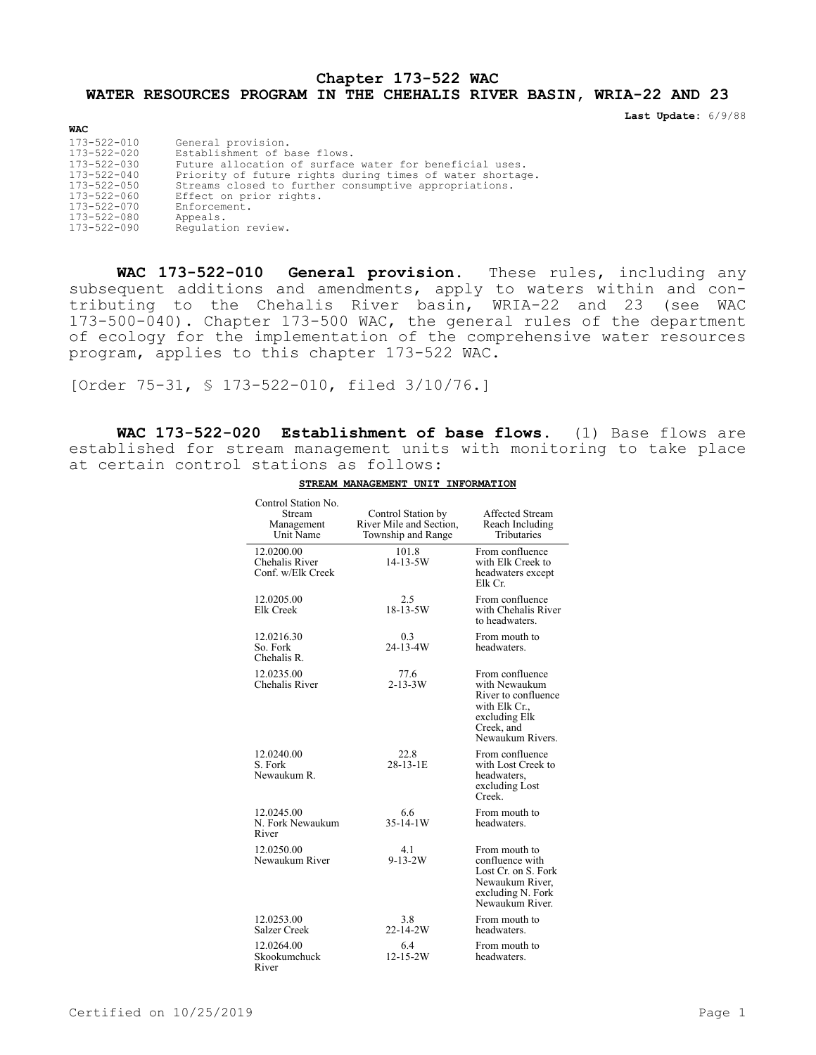## **Chapter 173-522 WAC WATER RESOURCES PROGRAM IN THE CHEHALIS RIVER BASIN, WRIA-22 AND 23**

**Last Update:** 6/9/88

| <b>WAC</b>        |                                                           |
|-------------------|-----------------------------------------------------------|
| 173-522-010       | General provision.                                        |
| 173-522-020       | Establishment of base flows.                              |
| 173-522-030       | Future allocation of surface water for beneficial uses.   |
| $173 - 522 - 040$ | Priority of future rights during times of water shortage. |
| 173-522-050       | Streams closed to further consumptive appropriations.     |
| 173-522-060       | Effect on prior rights.                                   |
| 173-522-070       | Enforcement.                                              |
| 173-522-080       | Appeals.                                                  |
| 173-522-090       | Requlation review.                                        |

**WAC 173-522-010 General provision.** These rules, including any subsequent additions and amendments, apply to waters within and contributing to the Chehalis River basin, WRIA-22 and 23 (see WAC 173-500-040). Chapter 173-500 WAC, the general rules of the department of ecology for the implementation of the comprehensive water resources program, applies to this chapter 173-522 WAC.

[Order 75-31, § 173-522-010, filed 3/10/76.]

**WAC 173-522-020 Establishment of base flows.** (1) Base flows are established for stream management units with monitoring to take place at certain control stations as follows:

| Control Station No.<br>Stream<br>Management<br>Unit Name | Control Station by<br>River Mile and Section,<br>Township and Range | <b>Affected Stream</b><br>Reach Including<br>Tributaries                                                                  |
|----------------------------------------------------------|---------------------------------------------------------------------|---------------------------------------------------------------------------------------------------------------------------|
| 12.0200.00<br>Chehalis River<br>Conf. w/Elk Creek        | 101.8<br>$14 - 13 - 5W$                                             | From confluence<br>with Elk Creek to<br>headwaters except<br>Elk Cr.                                                      |
| 12.0205.00<br>Elk Creek                                  | 2.5<br>$18 - 13 - 5W$                                               | From confluence<br>with Chehalis River<br>to headwaters.                                                                  |
| 12.0216.30<br>So. Fork<br>Chehalis R.                    | 0.3<br>$24 - 13 - 4W$                                               | From mouth to<br>headwaters.                                                                                              |
| 12.0235.00<br>Chehalis River                             | 77.6<br>$2 - 13 - 3W$                                               | From confluence<br>with Newaukum<br>River to confluence<br>with Elk Cr<br>excluding Elk<br>Creek, and<br>Newaukum Rivers. |
| 12.0240.00<br>S. Fork<br>Newaukum R.                     | 22.8<br>$28 - 13 - 1E$                                              | From confluence<br>with Lost Creek to<br>headwaters,<br>excluding Lost<br>Creek.                                          |
| 12.0245.00<br>N. Fork Newaukum<br>River                  | 6.6<br>$35-14-1W$                                                   | From mouth to<br>headwaters.                                                                                              |
| 12.0250.00<br>Newaukum River                             | 4.1<br>$9 - 13 - 2W$                                                | From mouth to<br>confluence with<br>Lost Cr. on S. Fork<br>Newaukum River,<br>excluding N. Fork<br>Newaukum River.        |
| 12.0253.00<br>Salzer Creek                               | 3.8<br>22-14-2W                                                     | From mouth to<br>headwaters.                                                                                              |
| 12.0264.00<br>Skookumchuck<br>River                      | 6.4<br>$12 - 15 - 2W$                                               | From mouth to<br>headwaters.                                                                                              |

## **STREAM MANAGEMENT UNIT INFORMATION**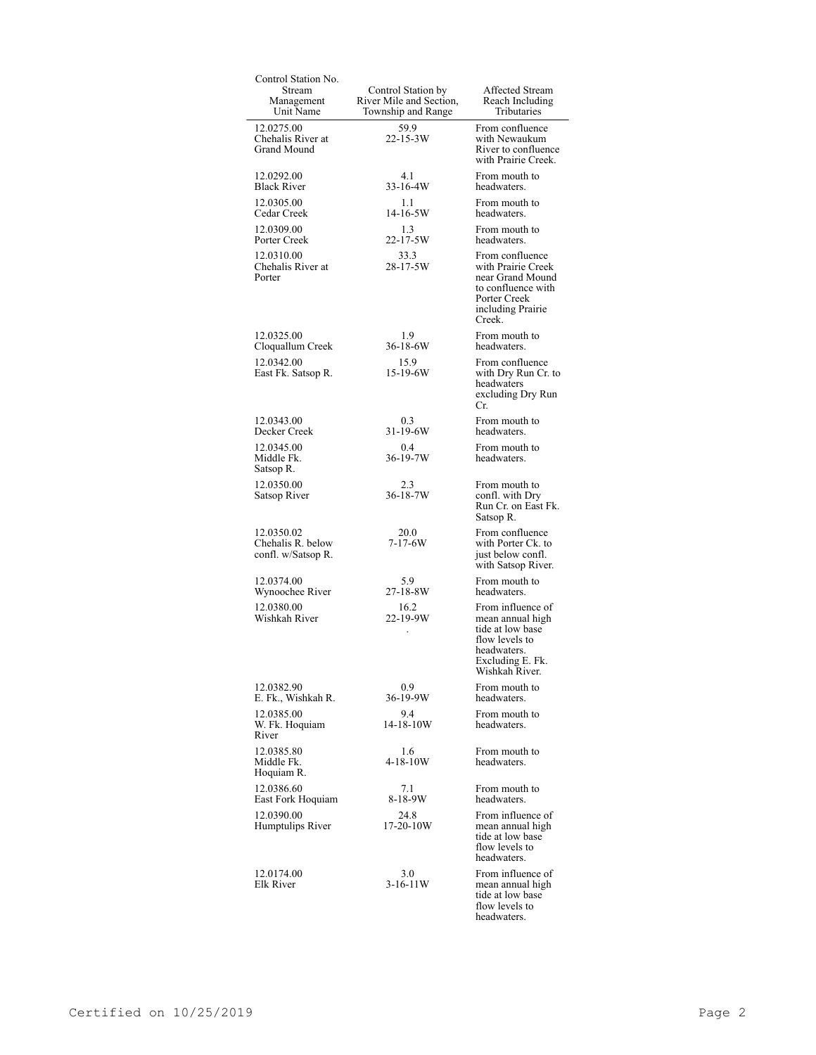| Control Station No.                                   |                                                                     |                                                                                                                                  |
|-------------------------------------------------------|---------------------------------------------------------------------|----------------------------------------------------------------------------------------------------------------------------------|
| Stream<br>Management<br>Unit Name                     | Control Station by<br>River Mile and Section,<br>Township and Range | Affected Stream<br>Reach Including<br>Tributaries                                                                                |
| 12.0275.00<br>Chehalis River at<br>Grand Mound        | 59.9<br>22-15-3W                                                    | From confluence<br>with Newaukum<br>River to confluence<br>with Prairie Creek.                                                   |
| 12.0292.00<br><b>Black River</b>                      | 4.1<br>$33 - 16 - 4W$                                               | From mouth to<br>headwaters.                                                                                                     |
| 12.0305.00<br>Cedar Creek                             | 1.1<br>14-16-5W                                                     | From mouth to<br>headwaters.                                                                                                     |
| 12.0309.00<br>Porter Creek                            | 1.3<br>22-17-5W                                                     | From mouth to<br>headwaters.                                                                                                     |
| 12.0310.00<br>Chehalis River at<br>Porter             | 33.3<br>28-17-5W                                                    | From confluence<br>with Prairie Creek<br>near Grand Mound<br>to confluence with<br>Porter Creek<br>including Prairie<br>Creek.   |
| 12.0325.00<br>Cloquallum Creek                        | 1.9<br>36-18-6W                                                     | From mouth to<br>headwaters.                                                                                                     |
| 12.0342.00<br>East Fk. Satsop R.                      | 15.9<br>15-19-6W                                                    | From confluence<br>with Dry Run Cr. to<br>headwaters<br>excluding Dry Run<br>Cr.                                                 |
| 12.0343.00<br>Decker Creek                            | 0.3<br>31-19-6W                                                     | From mouth to<br>headwaters.                                                                                                     |
| 12.0345.00<br>Middle Fk.<br>Satsop R.                 | 0.4<br>36-19-7W                                                     | From mouth to<br>headwaters.                                                                                                     |
| 12.0350.00<br>Satsop River                            | 2.3<br>36-18-7W                                                     | From mouth to<br>confl. with Dry<br>Run Cr. on East Fk.<br>Satsop R.                                                             |
| 12.0350.02<br>Chehalis R. below<br>confl. w/Satsop R. | 20.0<br>$7 - 17 - 6W$                                               | From confluence<br>with Porter Ck. to<br>just below confl.<br>with Satsop River.                                                 |
| 12.0374.00<br>Wynoochee River                         | 5.9<br>27-18-8W                                                     | From mouth to<br>headwaters.                                                                                                     |
| 12.0380.00<br>Wishkah River                           | 16.2<br>22-19-9W                                                    | From influence of<br>mean annual high<br>tide at low base<br>flow levels to<br>headwaters.<br>Excluding E. Fk.<br>Wishkah River. |
| 12.0382.90<br>E. Fk., Wishkah R.                      | 0.9<br>36-19-9W                                                     | From mouth to<br>headwaters.                                                                                                     |
| 12.0385.00<br>W. Fk. Hoquiam<br>River                 | 9.4<br>14-18-10W                                                    | From mouth to<br>headwaters.                                                                                                     |
| 12.0385.80<br>Middle Fk.<br>Hoquiam R.                | 1.6<br>$4 - 18 - 10W$                                               | From mouth to<br>headwaters.                                                                                                     |
| 12.0386.60<br>East Fork Hoquiam                       | 7.1<br>8-18-9W                                                      | From mouth to<br>headwaters.                                                                                                     |
| 12.0390.00<br>Humptulips River                        | 24.8<br>$17 - 20 - 10W$                                             | From influence of<br>mean annual high<br>tide at low base<br>flow levels to<br>headwaters.                                       |
| 12.0174.00<br>Elk River                               | 3.0<br>$3-16-11W$                                                   | From influence of<br>mean annual high<br>tide at low base<br>flow levels to<br>headwaters.                                       |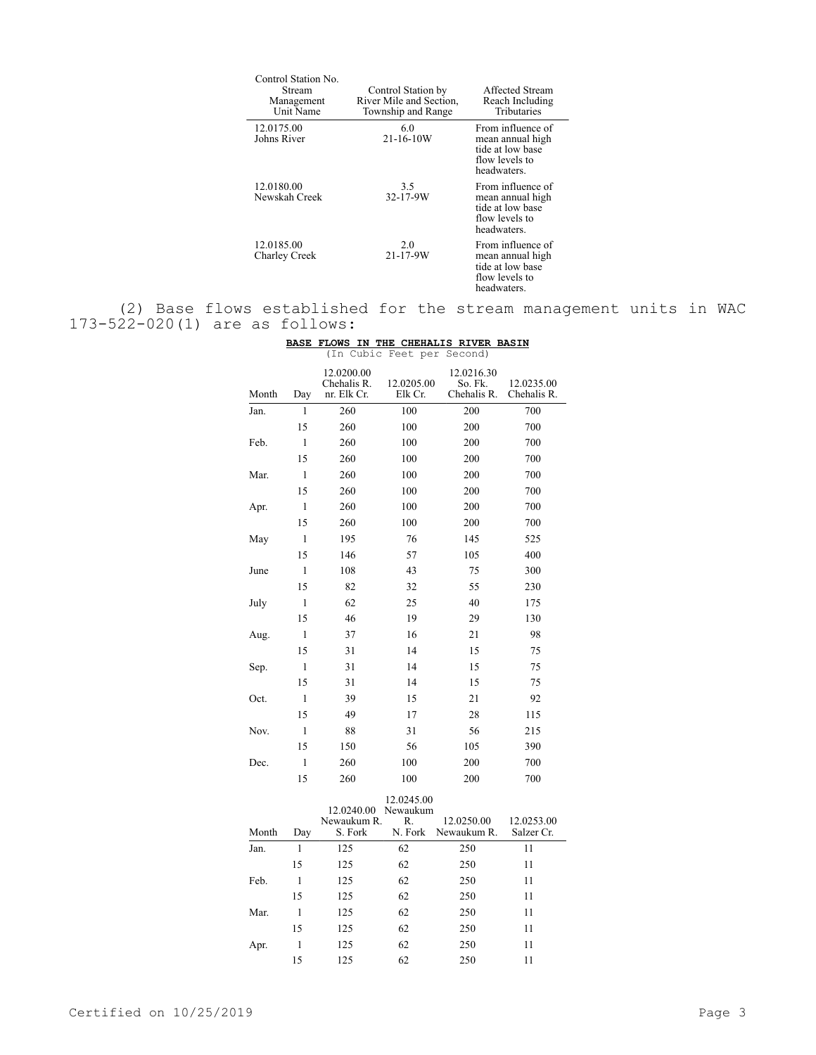| Control Station No.<br>Stream<br>Management<br>Unit Name | Control Station by<br>River Mile and Section,<br>Township and Range | Affected Stream<br>Reach Including<br>Tributaries                                          |
|----------------------------------------------------------|---------------------------------------------------------------------|--------------------------------------------------------------------------------------------|
| 12.0175.00<br>Johns River                                | 6.0<br>$21 - 16 - 10W$                                              | From influence of<br>mean annual high<br>tide at low base<br>flow levels to<br>headwaters. |
| 12.0180.00<br>Newskah Creek                              | 3.5<br>32-17-9W                                                     | From influence of<br>mean annual high<br>tide at low base<br>flow levels to<br>headwaters. |
| 12.0185.00<br>Charley Creek                              | 2.0<br>21-17-9W                                                     | From influence of<br>mean annual high<br>tide at low base<br>flow levels to<br>headwaters. |

(2) Base flows established for the stream management units in WAC 173-522-020(1) are as follows:

|  |  | BASE FLOWS IN THE CHEHALIS RIVER BASIN |  |
|--|--|----------------------------------------|--|
|  |  | (In Cubic Feet per Second)             |  |

|       |              | $1 + 11$ van $-$                         | $- - - -$              | $\sim$ $\sim$ $\sim$ $\sim$ $\sim$ $\sim$ $\sim$ |                           |
|-------|--------------|------------------------------------------|------------------------|--------------------------------------------------|---------------------------|
| Month | Day          | 12.0200.00<br>Chehalis R.<br>nr. Elk Cr. | 12.0205.00<br>Elk Cr.  | 12.0216.30<br>So. Fk.<br>Chehalis R.             | 12.0235.00<br>Chehalis R. |
| Jan.  | 1            | 260                                      | 100                    | 200                                              | 700                       |
|       | 15           | 260                                      | 100                    | 200                                              | 700                       |
| Feb.  | $\mathbf{1}$ | 260                                      | 100                    | 200                                              | 700                       |
|       | 15           | 260                                      | 100                    | 200                                              | 700                       |
| Mar.  | $\mathbf{1}$ | 260                                      | 100                    | 200                                              | 700                       |
|       | 15           | 260                                      | 100                    | 200                                              | 700                       |
| Apr.  | $\mathbf{1}$ | 260                                      | 100                    | 200                                              | 700                       |
|       | 15           | 260                                      | 100                    | 200                                              | 700                       |
| May   | 1            | 195                                      | 76                     | 145                                              | 525                       |
|       | 15           | 146                                      | 57                     | 105                                              | 400                       |
| June  | $\mathbf{1}$ | 108                                      | 43                     | 75                                               | 300                       |
|       | 15           | 82                                       | 32                     | 55                                               | 230                       |
| July  | $\mathbf{1}$ | 62                                       | 25                     | 40                                               | 175                       |
|       | 15           | 46                                       | 19                     | 29                                               | 130                       |
| Aug.  | $\mathbf{1}$ | 37                                       | 16                     | 21                                               | 98                        |
|       | 15           | 31                                       | 14                     | 15                                               | 75                        |
| Sep.  | 1            | 31                                       | 14                     | 15                                               | 75                        |
|       | 15           | 31                                       | 14                     | 15                                               | 75                        |
| Oct.  | $\mathbf{1}$ | 39                                       | 15                     | 21                                               | 92                        |
|       | 15           | 49                                       | 17                     | 28                                               | 115                       |
| Nov.  | $\mathbf{1}$ | 88                                       | 31                     | 56                                               | 215                       |
|       | 15           | 150                                      | 56                     | 105                                              | 390                       |
| Dec.  | $\mathbf{1}$ | 260                                      | 100                    | 200                                              | 700                       |
|       | 15           | 260                                      | 100                    | 200                                              | 700                       |
|       |              | 12.0240.00                               | 12.0245.00<br>Newaukum |                                                  |                           |
| Month | Day          | Newaukum R.<br>S. Fork                   | R.<br>N. Fork          | 12.0250.00<br>Newaukum R.                        | 12.0253.00<br>Salzer Cr.  |
|       | $\mathbf{1}$ |                                          |                        |                                                  |                           |
| Jan.  | 15           | 125                                      | 62<br>62               | 250<br>250                                       | 11<br>11                  |
|       | $\mathbf{1}$ | 125                                      |                        |                                                  |                           |
| Feb.  | 15           | 125                                      | 62<br>62               | 250                                              | 11                        |
|       | $\mathbf{1}$ | 125                                      |                        | 250                                              | 11                        |
| Mar.  |              | 125                                      | 62                     | 250                                              | 11                        |

15 125 62 250 11

15 125 62 250 11

Apr. 1 125 62 250 11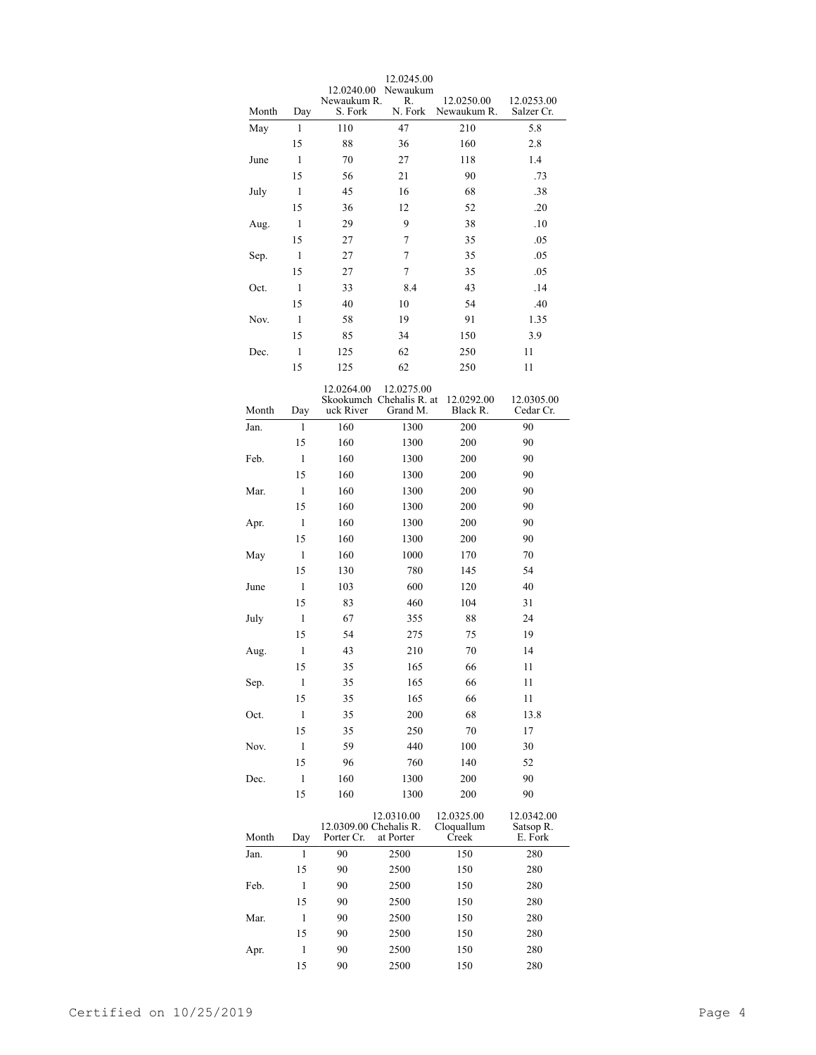| 12.0245.00                                                              |              |                                      |                                                    |                                   |                                    |  |
|-------------------------------------------------------------------------|--------------|--------------------------------------|----------------------------------------------------|-----------------------------------|------------------------------------|--|
| 12.0240.00<br>Newaukum<br>Newaukum R.<br>R.<br>12.0250.00<br>12.0253.00 |              |                                      |                                                    |                                   |                                    |  |
| Month                                                                   | Day          | S. Fork                              | N. Fork                                            | Newaukum R.                       | Salzer Cr.                         |  |
| May                                                                     | 1            | 110                                  | 47                                                 | 210                               | 5.8                                |  |
|                                                                         | 15           | 88                                   | 36                                                 | 160                               | 2.8                                |  |
| June                                                                    | 1            | 70                                   | 27                                                 | 118                               | 1.4                                |  |
|                                                                         | 15           | 56                                   | 21                                                 | 90                                | .73                                |  |
| July                                                                    | 1            | 45                                   | 16                                                 | 68                                | .38                                |  |
|                                                                         | 15           | 36                                   | 12                                                 | 52                                | .20                                |  |
| Aug.                                                                    | 1            | 29                                   | 9                                                  | 38                                | .10                                |  |
|                                                                         | 15           | 27                                   | 7                                                  | 35                                | .05                                |  |
| Sep.                                                                    | 1            | 27                                   | 7                                                  | 35                                | .05                                |  |
|                                                                         | 15           | 27                                   | 7                                                  | 35                                | .05                                |  |
| Oct.                                                                    | 1            | 33                                   | 8.4                                                | 43                                | .14                                |  |
|                                                                         | 15           | 40                                   | 10                                                 | 54                                | .40                                |  |
| Nov.                                                                    | 1            | 58                                   | 19                                                 | 91                                | 1.35                               |  |
|                                                                         | 15           | 85                                   | 34                                                 | 150                               | 3.9                                |  |
| Dec.                                                                    | 1            | 125                                  | 62                                                 | 250                               | 11                                 |  |
|                                                                         | 15           | 125                                  | 62                                                 | 250                               | 11                                 |  |
|                                                                         |              |                                      |                                                    |                                   |                                    |  |
| Month                                                                   | Day          | 12.0264.00<br>uck River              | 12.0275.00<br>Skookumch Chehalis R. at<br>Grand M. | 12.0292.00<br>Black R.            | 12.0305.00<br>Cedar Cr.            |  |
| Jan.                                                                    | 1            | 160                                  | 1300                                               | 200                               | 90                                 |  |
|                                                                         | 15           | 160                                  | 1300                                               | 200                               | 90                                 |  |
| Feb.                                                                    | 1            | 160                                  | 1300                                               | 200                               | 90                                 |  |
|                                                                         | 15           | 160                                  | 1300                                               | 200                               | 90                                 |  |
| Mar.                                                                    | 1            | 160                                  | 1300                                               | 200                               | 90                                 |  |
|                                                                         | 15           | 160                                  | 1300                                               | 200                               | 90                                 |  |
| 1                                                                       |              | 160                                  | 1300                                               | 200                               | 90                                 |  |
| Apr.                                                                    | 15           | 160                                  | 1300                                               | 200                               | 90                                 |  |
| May                                                                     | 1            | 160                                  | 1000                                               | 170                               | 70                                 |  |
|                                                                         | 15           |                                      | 780                                                |                                   | 54                                 |  |
|                                                                         | 1            | 130<br>103                           | 600                                                | 145<br>120                        | 40                                 |  |
| June                                                                    |              |                                      |                                                    |                                   |                                    |  |
|                                                                         | 15           | 83                                   | 460                                                | 104                               | 31                                 |  |
| July                                                                    | $\mathbf{1}$ | 67                                   | 355                                                | 88                                | 24                                 |  |
|                                                                         | 15           | 54                                   | 275                                                | 75                                | 19                                 |  |
| Aug.                                                                    | $\mathbf{1}$ | 43                                   | 210                                                | 70                                | 14                                 |  |
|                                                                         | 15           | 35                                   | 165                                                | 66                                | 11                                 |  |
| Sep.                                                                    | $\mathbf{1}$ | 35                                   | 165                                                | 66                                | 11                                 |  |
|                                                                         | 15           | 35                                   | 165                                                | 66                                | 11                                 |  |
| Oct.                                                                    | $\,1$        | 35                                   | 200                                                | 68                                | 13.8                               |  |
|                                                                         | 15           | 35                                   | 250                                                | 70                                | 17                                 |  |
| Nov.                                                                    | $\mathbf{1}$ | 59                                   | 440                                                | 100                               | 30                                 |  |
|                                                                         | 15           | 96                                   | 760                                                | 140                               | 52                                 |  |
| Dec.                                                                    | $\mathbf{1}$ | 160                                  | 1300                                               | 200                               | 90                                 |  |
|                                                                         | 15           | 160                                  | 1300                                               | 200                               | 90                                 |  |
| Month                                                                   |              | 12.0309.00 Chehalis R.<br>Porter Cr. | 12.0310.00<br>at Porter                            | 12.0325.00<br>Cloquallum<br>Creek | 12.0342.00<br>Satsop R.<br>E. Fork |  |
|                                                                         | Day<br>1     | 90                                   | 2500                                               | 150                               | 280                                |  |
| Jan.                                                                    |              | 90                                   |                                                    |                                   |                                    |  |
|                                                                         | 15           |                                      | 2500                                               | 150                               | 280                                |  |
| Feb.                                                                    | $\mathbf{1}$ | 90                                   | 2500                                               | 150                               | 280                                |  |
|                                                                         | 15           | 90                                   | 2500                                               | 150                               | 280                                |  |
| Mar.                                                                    | 1            | 90                                   | 2500                                               | 150                               | 280                                |  |
|                                                                         | 15           | 90                                   | 2500                                               | 150                               | 280                                |  |
| Apr.                                                                    | $\,1$        | 90                                   | 2500                                               | 150                               | 280                                |  |
|                                                                         | 15           | 90                                   | 2500                                               | 150                               | 280                                |  |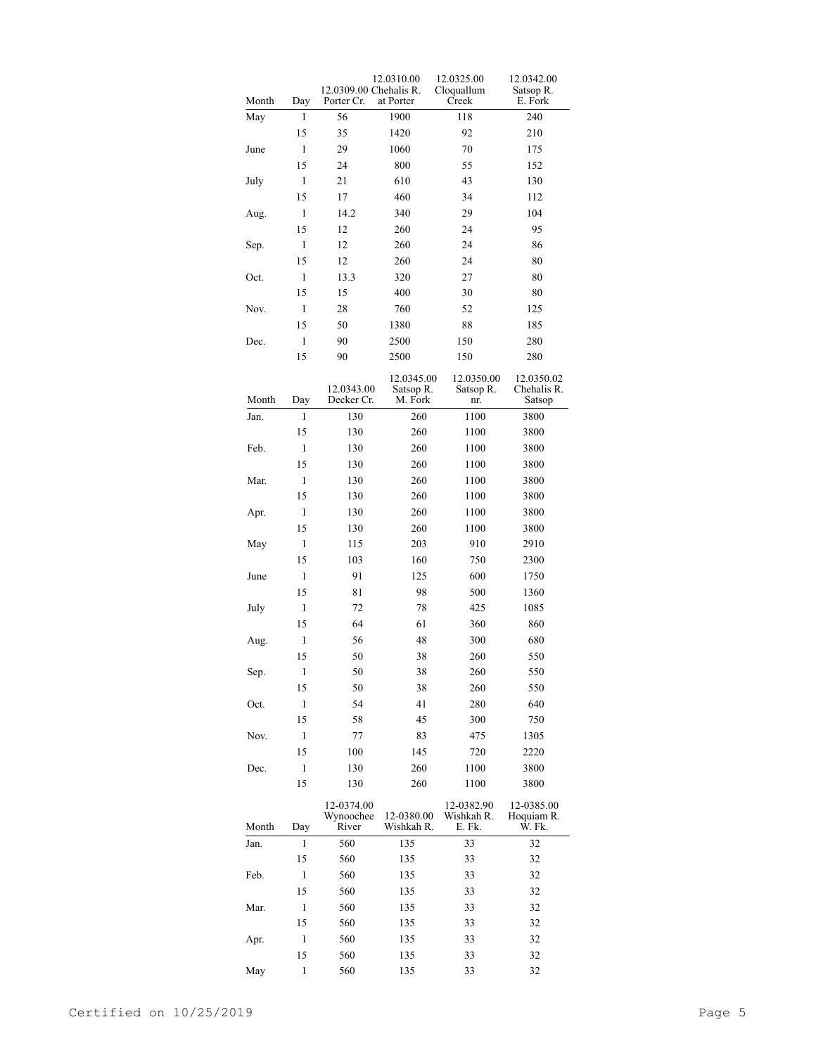| Month | Day          | 12.0309.00 Chehalis R.<br>Porter Cr. | 12.0310.00<br>at Porter            | 12.0325.00<br>Cloquallum<br>Creek  | 12.0342.00<br>Satsop R.<br>E. Fork  |
|-------|--------------|--------------------------------------|------------------------------------|------------------------------------|-------------------------------------|
| May   | 1            | 56                                   | 1900                               | 118                                | 240                                 |
|       | 15           | 35                                   | 1420                               | 92                                 | 210                                 |
| June  | 1            | 29                                   | 1060                               | 70                                 | 175                                 |
|       | 15           | 24                                   | 800                                | 55                                 | 152                                 |
| July  | 1            | 21                                   | 610                                | 43                                 | 130                                 |
|       | 15           | 17                                   | 460                                | 34                                 | 112                                 |
| Aug.  | 1            | 14.2                                 | 340                                | 29                                 | 104                                 |
|       | 15           | 12                                   | 260                                | 24                                 | 95                                  |
| Sep.  | 1            | 12                                   | 260                                | 24                                 | 86                                  |
|       | 15           | 12                                   | 260                                | 24                                 | 80                                  |
| Oct.  | 1            | 13.3                                 | 320                                | 27                                 | 80                                  |
|       | 15           | 15                                   | 400                                | 30                                 | 80                                  |
| Nov.  | 1            | 28                                   | 760                                | 52                                 | 125                                 |
|       | 15           | 50                                   | 1380                               | 88                                 | 185                                 |
|       |              |                                      |                                    |                                    |                                     |
| Dec.  | 1            | 90                                   | 2500                               | 150                                | 280                                 |
|       | 15           | 90                                   | 2500                               | 150                                | 280                                 |
| Month | Day          | 12.0343.00<br>Decker Cr.             | 12.0345.00<br>Satsop R.<br>M. Fork | 12.0350.00<br>Satsop R.<br>nr.     | 12.0350.02<br>Chehalis R.<br>Satsop |
| Jan.  | 1            | 130                                  | 260                                | 1100                               | 3800                                |
|       | 15           | 130                                  | 260                                | 1100                               | 3800                                |
| Feb.  | $\mathbf{1}$ | 130                                  | 260                                | 1100                               | 3800                                |
|       | 15           | 130                                  | 260                                | 1100                               | 3800                                |
| Mar.  | $\mathbf{1}$ | 130                                  | 260                                | 1100                               | 3800                                |
|       | 15           | 130                                  | 260                                | 1100                               | 3800                                |
| Apr.  | $\mathbf{1}$ | 130                                  | 260                                | 1100                               | 3800                                |
|       | 15           | 130                                  | 260                                | 1100                               | 3800                                |
| May   | $\mathbf{1}$ | 115                                  | 203                                | 910                                | 2910                                |
|       | 15           | 103                                  | 160                                | 750                                | 2300                                |
| June  | $\mathbf{1}$ | 91                                   | 125                                | 600                                | 1750                                |
|       | 15           | 81                                   | 98                                 | 500                                | 1360                                |
| July  | 1            | 72                                   | 78                                 | 425                                | 1085                                |
|       | 15           | 64                                   | 61                                 | 360                                | 860                                 |
|       | $\mathbf{1}$ | 56                                   | 48                                 | 300                                | 680                                 |
| Aug.  | 15           | 50                                   | 38                                 | 260                                | 550                                 |
|       |              |                                      |                                    |                                    |                                     |
| Sep.  | 1            | 50                                   | 38                                 | 260                                | 550                                 |
|       | 15           | 50                                   | 38                                 | 260                                | 550                                 |
| Oct.  | 1            | 54                                   | 41                                 | 280                                | 640                                 |
|       | 15           | 58                                   | 45                                 | 300                                | 750                                 |
| Nov.  | 1            | 77                                   | 83                                 | 475                                | 1305                                |
|       | 15           | 100                                  | 145                                | 720                                | 2220                                |
| Dec.  | 1            | 130                                  | 260                                | 1100                               | 3800                                |
|       | 15           | 130                                  | 260                                | 1100                               | 3800                                |
| Month | Day          | 12-0374.00<br>Wynoochee<br>River     | 12-0380.00<br>Wishkah R.           | 12-0382.90<br>Wishkah R.<br>E. Fk. | 12-0385.00<br>Hoquiam R.<br>Ŵ. Fk.  |
| Jan.  | 1            | 560                                  | 135                                | 33                                 | 32                                  |
|       | 15           | 560                                  | 135                                | 33                                 | 32                                  |
| Feb.  | 1            | 560                                  | 135                                | 33                                 | 32                                  |
|       | 15           | 560                                  | 135                                | 33                                 | 32                                  |
| Mar.  | 1            | 560                                  | 135                                | 33                                 | 32                                  |
|       | 15           | 560                                  | 135                                | 33                                 | 32                                  |
| Apr.  | 1            | 560                                  | 135                                | 33                                 | 32                                  |
|       | 15           | 560                                  | 135                                | 33                                 | 32                                  |
| May   | $\mathbf{1}$ | 560                                  | 135                                | 33                                 | 32                                  |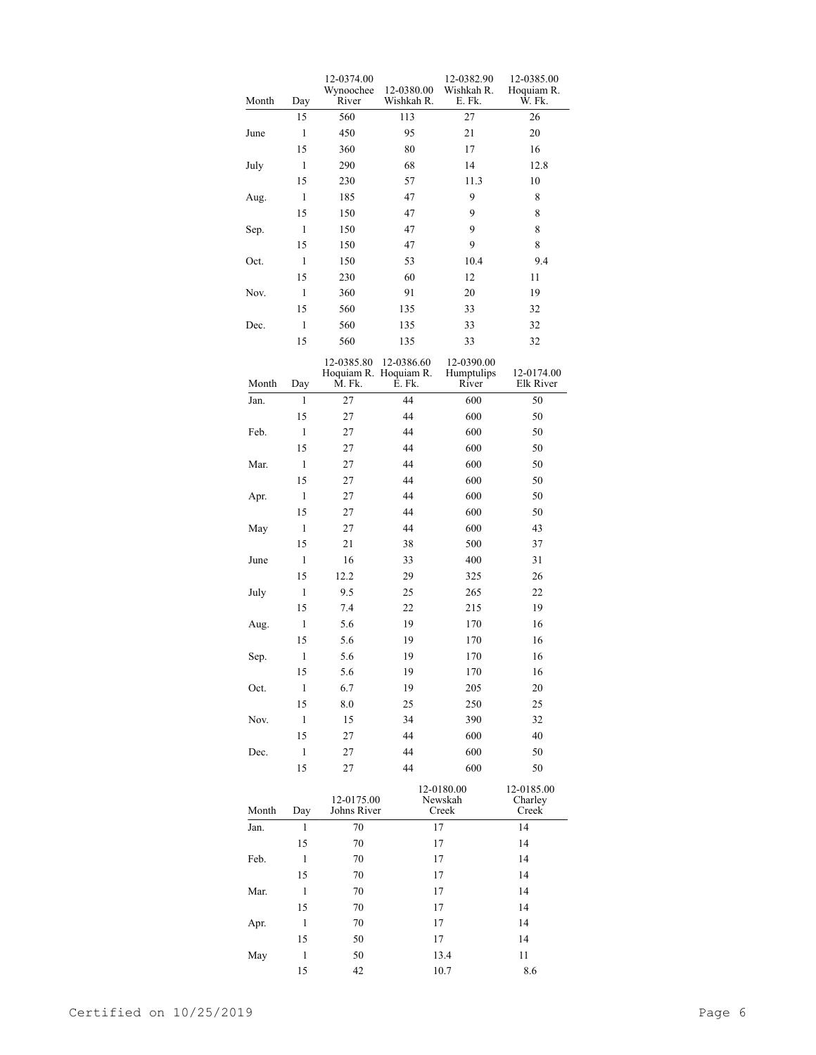| Month | Day          | 12-0374.00<br>Wynoochee<br>River              | 12-0380.00<br>Wishkah R. | 12-0382.90<br>Wishkah R.<br>E. Fk. | 12-0385.00<br>Hoquiam R.<br>W. Fk. |
|-------|--------------|-----------------------------------------------|--------------------------|------------------------------------|------------------------------------|
|       | 15           | 560                                           | 113                      | 27                                 | 26                                 |
| June  | 1            | 450                                           | 95                       | 21                                 | 20                                 |
|       | 15           | 360                                           | 80                       | 17                                 | 16                                 |
| July  | 1            | 290                                           | 68                       | 14                                 | 12.8                               |
|       | 15           | 230                                           | 57                       | 11.3                               | 10                                 |
| Aug.  | 1            | 185                                           | 47                       | 9                                  | 8                                  |
|       | 15           | 150                                           | 47                       | 9                                  | 8                                  |
| Sep.  | 1            | 150                                           | 47                       | 9                                  | 8                                  |
|       | 15           | 150                                           | 47                       | 9                                  | 8                                  |
| Oct.  | 1            | 150                                           | 53                       | 10.4                               | 9.4                                |
|       | 15           | 230                                           | 60                       | 12                                 | 11                                 |
| Nov.  | 1            | 360                                           | 91                       | 20                                 | 19                                 |
|       | 15           | 560                                           | 135                      | 33                                 | 32                                 |
| Dec.  | 1            | 560                                           | 135                      | 33                                 | 32                                 |
|       | 15           | 560                                           | 135                      | 33                                 | 32                                 |
| Month | Day          | 12-0385.80<br>Hoquiam R. Hoquiam R.<br>M. Fk. | 12-0386.60<br>E. Fk.     | 12-0390.00<br>Humptulips<br>River  | 12-0174.00<br>Elk River            |
| Jan.  | 1            | 27                                            | 44                       | 600                                | 50                                 |
|       | 15           | 27                                            | 44                       | 600                                | 50                                 |
| Feb.  | 1            | 27                                            | 44                       | 600                                | 50                                 |
|       | 15           | 27                                            | 44                       | 600                                | 50                                 |
| Mar.  | 1            | 27                                            | 44                       | 600                                | 50                                 |
|       | 15           | 27                                            | 44                       | 600                                | 50                                 |
| Apr.  | 1            | 27                                            | 44                       | 600                                | 50                                 |
|       | 15           | 27                                            | 44                       | 600                                | 50                                 |
| May   | 1            | 27                                            | 44                       | 600                                | 43                                 |
|       | 15           | 21                                            |                          | 500                                |                                    |
|       | 1            |                                               | 38                       | 400                                | 37                                 |
| June  | 15           | 16                                            | 33                       |                                    | 31                                 |
|       | 1            | 12.2                                          | 29                       | 325                                | 26                                 |
| July  |              | 9.5                                           | 25                       | 265                                | 22                                 |
|       | 15           | 7.4                                           | 22                       | 215                                | 19                                 |
| Aug.  | $\,1$        | 5.6                                           | 19                       | 170                                | 16                                 |
|       | 15           | 5.6                                           | 19                       | 170                                | 16                                 |
| Sep.  | 1            | 5.6                                           | 19                       | 170                                | 16                                 |
|       | 15           | 5.6                                           | 19                       | 170                                | 16                                 |
| Oct.  | 1            | 6.7                                           | 19                       | 205                                | 20                                 |
|       | 15           | 8.0                                           | 25                       | 250                                | 25                                 |
| Nov.  | 1            | 15                                            | 34                       | 390                                | 32                                 |
|       | 15           | 27                                            | 44                       | 600                                | 40                                 |
| Dec.  | 1            | 27                                            | 44                       | 600                                | 50                                 |
|       | 15           | 27                                            | 44                       | 600                                | 50                                 |
| Month | Day          | 12-0175.00<br>Johns River                     |                          | 12-0180.00<br>Newskah<br>Creek     | 12-0185.00<br>Charley<br>Creek     |
| Jan.  | 1            | 70                                            |                          | 17                                 | 14                                 |
|       | 15           | 70                                            |                          | 17                                 | 14                                 |
| Feb.  | 1            | 70                                            |                          | 17                                 | 14                                 |
|       | 15           | 70                                            |                          | 17                                 | 14                                 |
| Mar.  | 1            | $70\,$                                        |                          | 17                                 | 14                                 |
|       | 15           | $70\,$                                        |                          | 17                                 | 14                                 |
| Apr.  | 1            | 70                                            |                          | 17                                 | 14                                 |
|       | 15           | 50                                            |                          | 17                                 | 14                                 |
| May   | $\mathbf{1}$ | 50                                            |                          | 13.4                               | 11                                 |
|       | 15           | 42                                            |                          | 10.7                               | 8.6                                |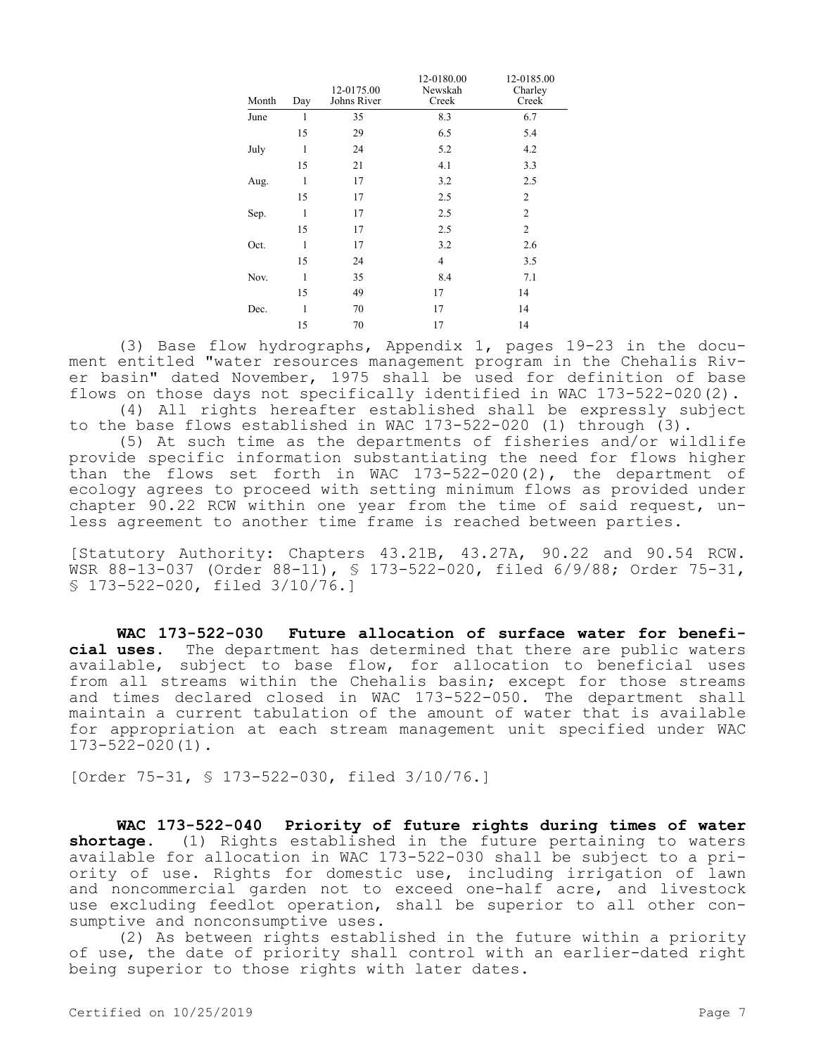| Month | Day          | 12-0175.00<br>Johns River | 12-0180.00<br>Newskah<br>Creek | 12-0185.00<br>Charley<br>Creek |
|-------|--------------|---------------------------|--------------------------------|--------------------------------|
| June  | $\mathbf{1}$ | 35                        | 8.3                            | 6.7                            |
|       | 15           | 29                        | 6.5                            | 5.4                            |
| July  | 1            | 24                        | 5.2                            | 4.2                            |
|       | 15           | 21                        | 4.1                            | 3.3                            |
| Aug.  | 1            | 17                        | 3.2                            | 2.5                            |
|       | 15           | 17                        | 2.5                            | 2                              |
| Sep.  | 1            | 17                        | 2.5                            | $\overline{2}$                 |
|       | 15           | 17                        | 2.5                            | $\mathfrak{2}$                 |
| Oct.  | 1            | 17                        | 3.2                            | 2.6                            |
|       | 15           | 24                        | $\overline{4}$                 | 3.5                            |
| Nov.  | 1            | 35                        | 8.4                            | 7.1                            |
|       | 15           | 49                        | 17                             | 14                             |
| Dec.  | 1            | 70                        | 17                             | 14                             |
|       | 15           | 70                        | 17                             | 14                             |

(3) Base flow hydrographs, Appendix 1, pages 19-23 in the document entitled "water resources management program in the Chehalis River basin" dated November, 1975 shall be used for definition of base flows on those days not specifically identified in WAC 173-522-020(2).

(4) All rights hereafter established shall be expressly subject to the base flows established in WAC 173-522-020 (1) through (3).

(5) At such time as the departments of fisheries and/or wildlife provide specific information substantiating the need for flows higher than the flows set forth in WAC 173-522-020(2), the department of ecology agrees to proceed with setting minimum flows as provided under chapter 90.22 RCW within one year from the time of said request, unless agreement to another time frame is reached between parties.

[Statutory Authority: Chapters 43.21B, 43.27A, 90.22 and 90.54 RCW. WSR 88-13-037 (Order 88-11), § 173-522-020, filed 6/9/88; Order 75-31, § 173-522-020, filed 3/10/76.]

**WAC 173-522-030 Future allocation of surface water for beneficial uses.** The department has determined that there are public waters available, subject to base flow, for allocation to beneficial uses from all streams within the Chehalis basin; except for those streams and times declared closed in WAC 173-522-050. The department shall maintain a current tabulation of the amount of water that is available for appropriation at each stream management unit specified under WAC 173-522-020(1).

[Order 75-31, § 173-522-030, filed 3/10/76.]

**WAC 173-522-040 Priority of future rights during times of water shortage.** (1) Rights established in the future pertaining to waters available for allocation in WAC 173-522-030 shall be subject to a priority of use. Rights for domestic use, including irrigation of lawn and noncommercial garden not to exceed one-half acre, and livestock use excluding feedlot operation, shall be superior to all other consumptive and nonconsumptive uses.

(2) As between rights established in the future within a priority of use, the date of priority shall control with an earlier-dated right being superior to those rights with later dates.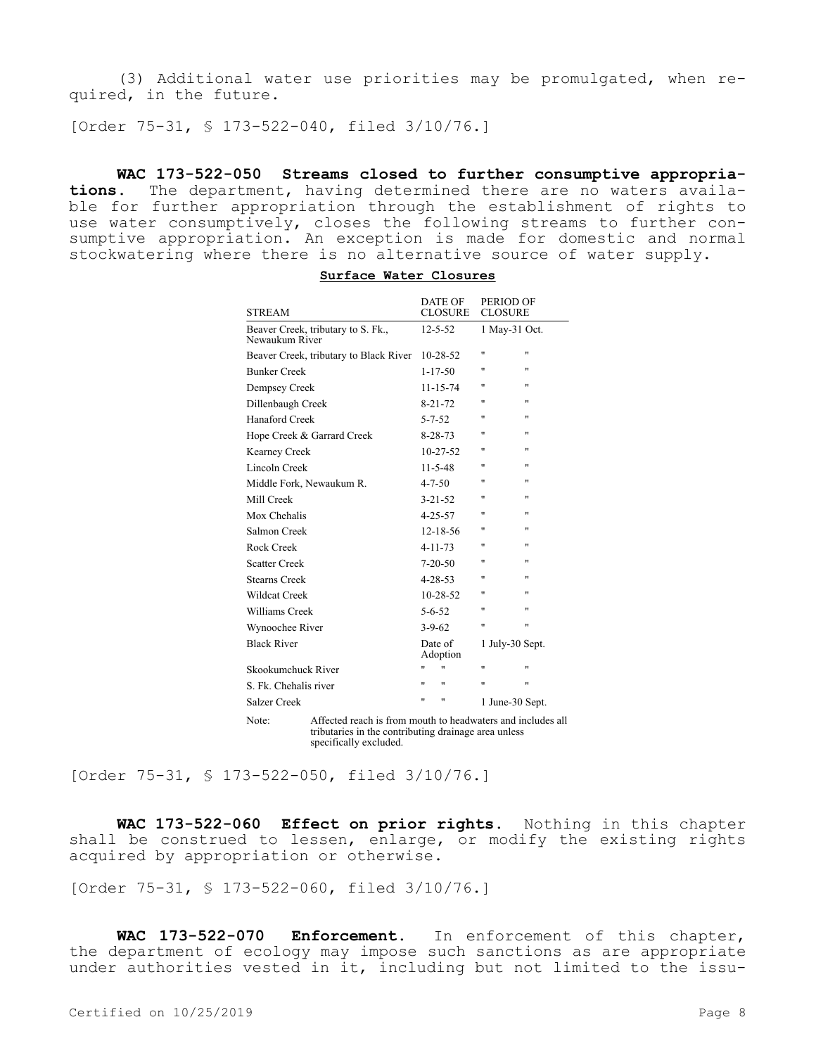(3) Additional water use priorities may be promulgated, when required, in the future.

[Order 75-31, § 173-522-040, filed 3/10/76.]

**WAC 173-522-050 Streams closed to further consumptive appropriations.** The department, having determined there are no waters available for further appropriation through the establishment of rights to use water consumptively, closes the following streams to further consumptive appropriation. An exception is made for domestic and normal stockwatering where there is no alternative source of water supply.

| <b>STREAM</b>                                        | <b>DATE OF</b><br><b>CLOSURE</b> | PERIOD OF<br><b>CLOSURE</b> |
|------------------------------------------------------|----------------------------------|-----------------------------|
| Beaver Creek, tributary to S. Fk.,<br>Newaukum River | $12 - 5 - 52$                    | 1 May-31 Oct.               |
| Beaver Creek, tributary to Black River               | $10 - 28 - 52$                   | Ħ<br>Ħ                      |
| <b>Bunker Creek</b>                                  | $1 - 17 - 50$                    | Ħ<br>Ħ                      |
| Dempsey Creek                                        | $11 - 15 - 74$                   | Ħ<br>$\blacksquare$         |
| Dillenbaugh Creek                                    | $8 - 21 - 72$                    | n<br>Ħ                      |
| Hanaford Creek                                       | $5 - 7 - 52$                     | Ħ.<br>Ħ                     |
| Hope Creek & Garrard Creek                           | $8 - 28 - 73$                    | Ħ<br>n                      |
| Kearney Creek                                        | $10 - 27 - 52$                   | n<br>Ħ                      |
| Lincoln Creek                                        | $11 - 5 - 48$                    | Ħ<br>Ħ                      |
| Middle Fork, Newaukum R.                             | $4 - 7 - 50$                     | Ħ<br>"                      |
| Mill Creek                                           | $3 - 21 - 52$                    | Ħ<br>Ħ                      |
| Mox Chehalis                                         | $4 - 25 - 57$                    | Ħ<br>Ħ                      |
| Salmon Creek                                         | $12 - 18 - 56$                   | Ħ<br>Ħ                      |
| Rock Creek                                           | $4 - 11 - 73$                    | Ħ<br>Ħ                      |
| <b>Scatter Creek</b>                                 | $7-20-50$                        | n<br>Ħ                      |
| Stearns Creek                                        | $4 - 28 - 53$                    | Ħ<br>n                      |
| <b>Wildcat Creek</b>                                 | $10 - 28 - 52$                   | n<br>Ħ                      |
| Williams Creek                                       | $5 - 6 - 52$                     | Ħ<br>n                      |
| Wynoochee River                                      | $3 - 9 - 62$                     | Ħ<br>Ħ                      |
| <b>Black River</b>                                   | Date of<br>Adoption              | 1 July-30 Sept.             |
| Skookumchuck River                                   | Ħ                                | Ħ<br>Ħ                      |
| S. Fk. Chehalis river                                | Ħ<br>п                           | Ħ<br>n                      |
| Salzer Creek                                         | Ħ<br>Ħ                           | 1 June-30 Sept.             |

|  | Surface Water Closures |
|--|------------------------|
|  |                        |

Note: Affected reach is from mouth to headwaters and includes all tributaries in the contributing drainage area unless specifically excluded.

[Order 75-31, § 173-522-050, filed 3/10/76.]

**WAC 173-522-060 Effect on prior rights.** Nothing in this chapter shall be construed to lessen, enlarge, or modify the existing rights acquired by appropriation or otherwise.

[Order 75-31, § 173-522-060, filed 3/10/76.]

**WAC 173-522-070 Enforcement.** In enforcement of this chapter, the department of ecology may impose such sanctions as are appropriate under authorities vested in it, including but not limited to the issu